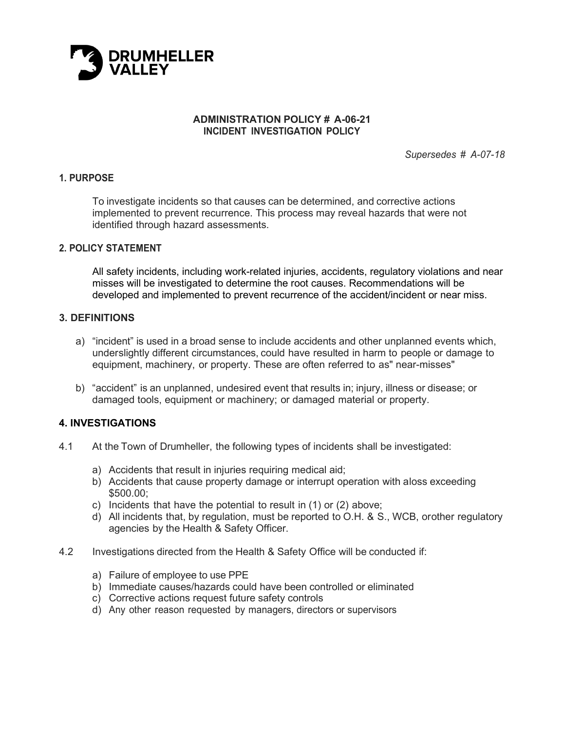

### **ADMINISTRATION POLICY # A-06-21 INCIDENT INVESTIGATION POLICY**

*Supersedes # A-07-18*

### **1. PURPOSE**

To investigate incidents so that causes can be determined, and corrective actions implemented to prevent recurrence. This process may reveal hazards that were not identified through hazard assessments.

### **2. POLICY STATEMENT**

All safety incidents, including work-related injuries, accidents, regulatory violations and near misses will be investigated to determine the root causes. Recommendations will be developed and implemented to prevent recurrence of the accident/incident or near miss.

### **3. DEFINITIONS**

- a) "incident" is used in a broad sense to include accidents and other unplanned events which, underslightly different circumstances, could have resulted in harm to people or damage to equipment, machinery, or property. These are often referred to as" near-misses"
- b) "accident" is an unplanned, undesired event that results in; injury, illness or disease; or damaged tools, equipment or machinery; or damaged material or property.

### **4. INVESTIGATIONS**

- 4.1 At the Town of Drumheller, the following types of incidents shall be investigated:
	- a) Accidents that result in injuries requiring medical aid;
	- b) Accidents that cause property damage or interrupt operation with a loss exceeding \$500.00;
	- c) Incidents that have the potential to result in (1) or (2) above;
	- d) All incidents that, by regulation, must be reported to O.H. & S., WCB, orother regulatory agencies by the Health & Safety Officer.
- 4.2 Investigations directed from the Health & Safety Office will be conducted if:
	- a) Failure of employee to use PPE
	- b) Immediate causes/hazards could have been controlled or eliminated
	- c) Corrective actions request future safety controls
	- d) Any other reason requested by managers, directors or supervisors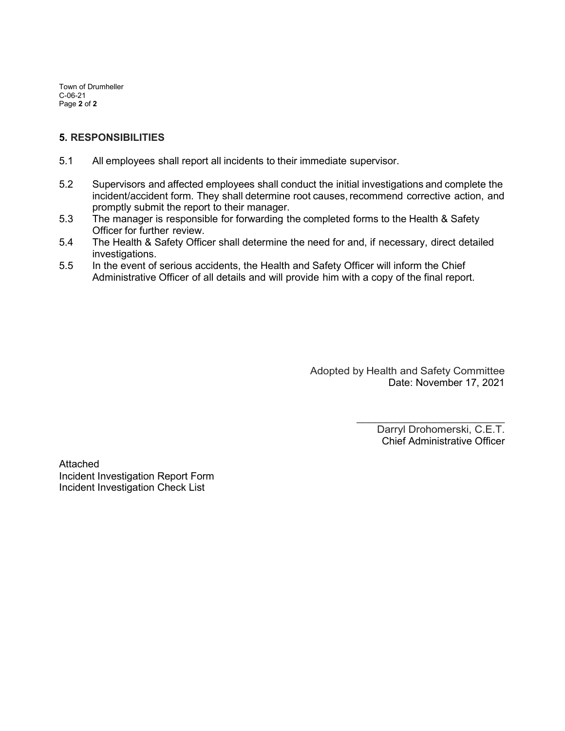Town of Drumheller C-06-21 Page **2** of **2**

### **5. RESPONSIBILITIES**

- 5.1 All employees shall report all incidents to their immediate supervisor.
- 5.2 Supervisors and affected employees shall conduct the initial investigations and complete the incident/accident form. They shall determine root causes, recommend corrective action, and promptly submit the report to their manager.
- 5.3 The manager is responsible for forwarding the completed forms to the Health & Safety Officer for further review.
- 5.4 The Health & Safety Officer shall determine the need for and, if necessary, direct detailed investigations.
- 5.5 In the event of serious accidents, the Health and Safety Officer will inform the Chief Administrative Officer of all details and will provide him with a copy of the final report.

Adopted by Health and Safety Committee Date: November 17, 2021

> $\overline{\phantom{a}}$  , where  $\overline{\phantom{a}}$  , where  $\overline{\phantom{a}}$  , where  $\overline{\phantom{a}}$  , where  $\overline{\phantom{a}}$ Darryl Drohomerski, C.E.T. Chief Administrative Officer

Attached Incident Investigation Report Form Incident Investigation Check List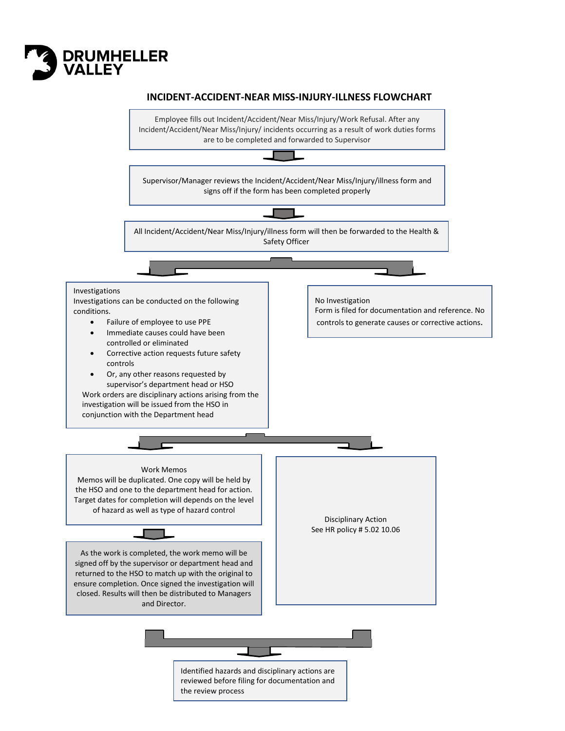

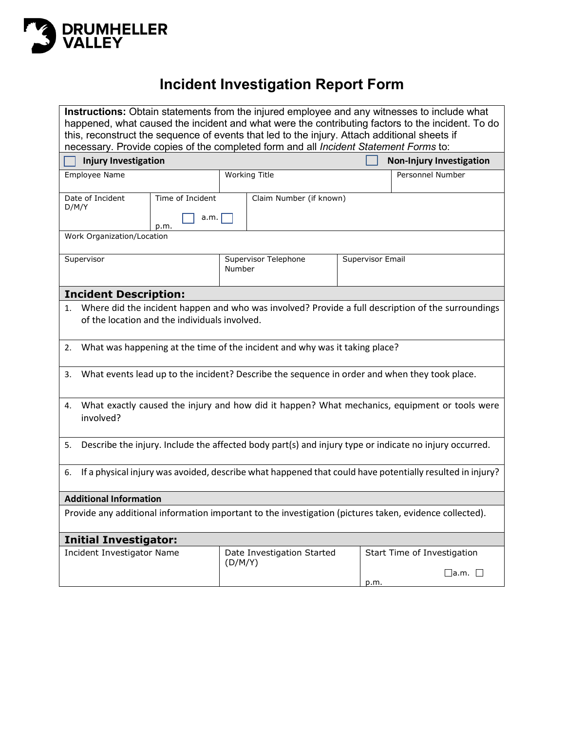

# **Incident Investigation Report Form**

| <b>Instructions:</b> Obtain statements from the injured employee and any witnesses to include what               |                                                    |                                                                                                    |  |  |
|------------------------------------------------------------------------------------------------------------------|----------------------------------------------------|----------------------------------------------------------------------------------------------------|--|--|
| happened, what caused the incident and what were the contributing factors to the incident. To do                 |                                                    |                                                                                                    |  |  |
| this, reconstruct the sequence of events that led to the injury. Attach additional sheets if                     |                                                    |                                                                                                    |  |  |
| necessary. Provide copies of the completed form and all Incident Statement Forms to:                             |                                                    |                                                                                                    |  |  |
| <b>Injury Investigation</b>                                                                                      |                                                    | <b>Non-Injury Investigation</b>                                                                    |  |  |
| <b>Employee Name</b>                                                                                             | <b>Working Title</b>                               | Personnel Number                                                                                   |  |  |
| Date of Incident<br>Time of Incident                                                                             | Claim Number (if known)                            |                                                                                                    |  |  |
| D/M/Y<br>a.m.<br>p.m.                                                                                            |                                                    |                                                                                                    |  |  |
| Work Organization/Location                                                                                       |                                                    |                                                                                                    |  |  |
| Supervisor                                                                                                       | Supervisor Telephone<br>Supervisor Email<br>Number |                                                                                                    |  |  |
|                                                                                                                  |                                                    |                                                                                                    |  |  |
| <b>Incident Description:</b>                                                                                     |                                                    |                                                                                                    |  |  |
| 1.                                                                                                               |                                                    | Where did the incident happen and who was involved? Provide a full description of the surroundings |  |  |
| of the location and the individuals involved.                                                                    |                                                    |                                                                                                    |  |  |
| What was happening at the time of the incident and why was it taking place?<br>2.                                |                                                    |                                                                                                    |  |  |
| What events lead up to the incident? Describe the sequence in order and when they took place.<br>3.              |                                                    |                                                                                                    |  |  |
| What exactly caused the injury and how did it happen? What mechanics, equipment or tools were<br>4.<br>involved? |                                                    |                                                                                                    |  |  |
| Describe the injury. Include the affected body part(s) and injury type or indicate no injury occurred.<br>5.     |                                                    |                                                                                                    |  |  |
|                                                                                                                  |                                                    |                                                                                                    |  |  |
| If a physical injury was avoided, describe what happened that could have potentially resulted in injury?<br>6.   |                                                    |                                                                                                    |  |  |
| <b>Additional Information</b>                                                                                    |                                                    |                                                                                                    |  |  |
| Provide any additional information important to the investigation (pictures taken, evidence collected).          |                                                    |                                                                                                    |  |  |
| <b>Initial Investigator:</b>                                                                                     |                                                    |                                                                                                    |  |  |
| Incident Investigator Name                                                                                       | Date Investigation Started                         | Start Time of Investigation                                                                        |  |  |
|                                                                                                                  | (D/M/Y)                                            | $\square$ a.m. $\square$                                                                           |  |  |
|                                                                                                                  |                                                    | p.m.                                                                                               |  |  |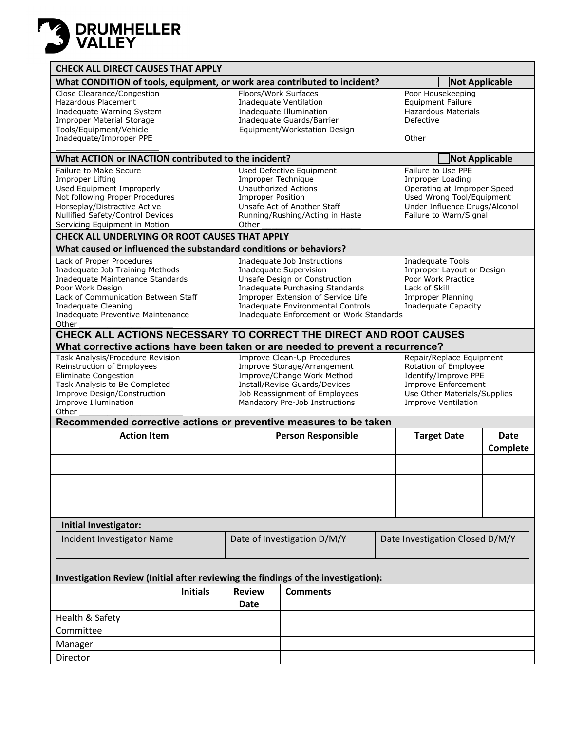

| <b>CHECK ALL DIRECT CAUSES THAT APPLY</b>                                                                                                                                                                                        |                 |                                                                                                                                                                                              |                                                                                                                                                                                                                                                                                                                                                                                                           |       |                                                                                                                                                                      |                       |
|----------------------------------------------------------------------------------------------------------------------------------------------------------------------------------------------------------------------------------|-----------------|----------------------------------------------------------------------------------------------------------------------------------------------------------------------------------------------|-----------------------------------------------------------------------------------------------------------------------------------------------------------------------------------------------------------------------------------------------------------------------------------------------------------------------------------------------------------------------------------------------------------|-------|----------------------------------------------------------------------------------------------------------------------------------------------------------------------|-----------------------|
| What CONDITION of tools, equipment, or work area contributed to incident?<br><b>Not Applicable</b>                                                                                                                               |                 |                                                                                                                                                                                              |                                                                                                                                                                                                                                                                                                                                                                                                           |       |                                                                                                                                                                      |                       |
| Close Clearance/Congestion<br><b>Hazardous Placement</b><br>Inadequate Warning System<br><b>Improper Material Storage</b><br>Tools/Equipment/Vehicle<br>Inadequate/Improper PPE                                                  |                 | Floors/Work Surfaces                                                                                                                                                                         | Inadequate Ventilation<br>Inadequate Illumination<br>Inadequate Guards/Barrier<br>Equipment/Workstation Design                                                                                                                                                                                                                                                                                            | Other | Poor Housekeeping<br><b>Equipment Failure</b><br><b>Hazardous Materials</b><br>Defective                                                                             |                       |
| What ACTION or INACTION contributed to the incident?                                                                                                                                                                             |                 |                                                                                                                                                                                              |                                                                                                                                                                                                                                                                                                                                                                                                           |       |                                                                                                                                                                      | <b>Not Applicable</b> |
| <b>Failure to Make Secure</b><br>Improper Lifting<br>Used Equipment Improperly<br>Not following Proper Procedures<br>Horseplay/Distractive Active<br>Nullified Safety/Control Devices<br>Servicing Equipment in Motion           |                 | Improper Technique<br><b>Unauthorized Actions</b><br><b>Improper Position</b><br>Other                                                                                                       | <b>Used Defective Equipment</b><br>Unsafe Act of Another Staff<br>Running/Rushing/Acting in Haste                                                                                                                                                                                                                                                                                                         |       | Failure to Use PPE<br>Improper Loading<br>Operating at Improper Speed<br>Used Wrong Tool/Equipment<br>Under Influence Drugs/Alcohol<br>Failure to Warn/Signal        |                       |
| <b>CHECK ALL UNDERLYING OR ROOT CAUSES THAT APPLY</b><br>What caused or influenced the substandard conditions or behaviors?                                                                                                      |                 |                                                                                                                                                                                              |                                                                                                                                                                                                                                                                                                                                                                                                           |       |                                                                                                                                                                      |                       |
| Lack of Proper Procedures<br>Inadequate Job Training Methods<br>Inadequate Maintenance Standards<br>Poor Work Design<br>Lack of Communication Between Staff<br>Inadequate Cleaning<br>Inadequate Preventive Maintenance<br>Other |                 |                                                                                                                                                                                              | Inadequate Job Instructions<br><b>Inadequate Tools</b><br><b>Inadequate Supervision</b><br>Improper Layout or Design<br>Unsafe Design or Construction<br>Poor Work Practice<br>Inadequate Purchasing Standards<br>Lack of Skill<br>Improper Extension of Service Life<br>Improper Planning<br>Inadequate Environmental Controls<br><b>Inadequate Capacity</b><br>Inadequate Enforcement or Work Standards |       |                                                                                                                                                                      |                       |
| CHECK ALL ACTIONS NECESSARY TO CORRECT THE DIRECT AND ROOT CAUSES                                                                                                                                                                |                 |                                                                                                                                                                                              |                                                                                                                                                                                                                                                                                                                                                                                                           |       |                                                                                                                                                                      |                       |
| What corrective actions have been taken or are needed to prevent a recurrence?                                                                                                                                                   |                 |                                                                                                                                                                                              |                                                                                                                                                                                                                                                                                                                                                                                                           |       |                                                                                                                                                                      |                       |
| Task Analysis/Procedure Revision<br>Reinstruction of Employees<br><b>Eliminate Congestion</b><br>Task Analysis to Be Completed<br>Improve Design/Construction<br>Improve Illumination<br>Other                                   |                 | Improve Clean-Up Procedures<br>Improve Storage/Arrangement<br>Improve/Change Work Method<br>Install/Revise Guards/Devices<br>Job Reassignment of Employees<br>Mandatory Pre-Job Instructions |                                                                                                                                                                                                                                                                                                                                                                                                           |       | Repair/Replace Equipment<br>Rotation of Employee<br>Identify/Improve PPE<br><b>Improve Enforcement</b><br>Use Other Materials/Supplies<br><b>Improve Ventilation</b> |                       |
| Recommended corrective actions or preventive measures to be taken<br><b>Action Item</b><br><b>Person Responsible</b><br><b>Target Date</b><br><b>Date</b>                                                                        |                 |                                                                                                                                                                                              |                                                                                                                                                                                                                                                                                                                                                                                                           |       |                                                                                                                                                                      |                       |
|                                                                                                                                                                                                                                  |                 |                                                                                                                                                                                              |                                                                                                                                                                                                                                                                                                                                                                                                           |       |                                                                                                                                                                      | Complete              |
| Initial Investigator:                                                                                                                                                                                                            |                 |                                                                                                                                                                                              |                                                                                                                                                                                                                                                                                                                                                                                                           |       |                                                                                                                                                                      |                       |
| Incident Investigator Name                                                                                                                                                                                                       |                 | Date of Investigation D/M/Y<br>Date Investigation Closed D/M/Y                                                                                                                               |                                                                                                                                                                                                                                                                                                                                                                                                           |       |                                                                                                                                                                      |                       |
| Investigation Review (Initial after reviewing the findings of the investigation):                                                                                                                                                |                 |                                                                                                                                                                                              |                                                                                                                                                                                                                                                                                                                                                                                                           |       |                                                                                                                                                                      |                       |
|                                                                                                                                                                                                                                  | <b>Initials</b> | <b>Review</b><br>Date                                                                                                                                                                        | <b>Comments</b>                                                                                                                                                                                                                                                                                                                                                                                           |       |                                                                                                                                                                      |                       |
| Health & Safety<br>Committee                                                                                                                                                                                                     |                 |                                                                                                                                                                                              |                                                                                                                                                                                                                                                                                                                                                                                                           |       |                                                                                                                                                                      |                       |
| Manager                                                                                                                                                                                                                          |                 |                                                                                                                                                                                              |                                                                                                                                                                                                                                                                                                                                                                                                           |       |                                                                                                                                                                      |                       |
| Director                                                                                                                                                                                                                         |                 |                                                                                                                                                                                              |                                                                                                                                                                                                                                                                                                                                                                                                           |       |                                                                                                                                                                      |                       |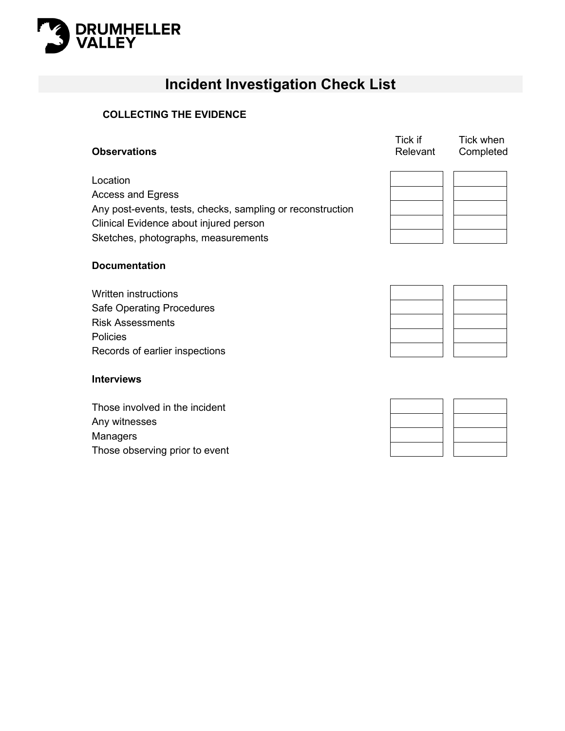

## **Incident Investigation Check List**

### **COLLECTING THE EVIDENCE**

| <b>Observations</b>                                        | Tick if<br>Relevant | Tick when<br>Completed |
|------------------------------------------------------------|---------------------|------------------------|
| Location                                                   |                     |                        |
| <b>Access and Egress</b>                                   |                     |                        |
| Any post-events, tests, checks, sampling or reconstruction |                     |                        |
| Clinical Evidence about injured person                     |                     |                        |
| Sketches, photographs, measurements                        |                     |                        |
|                                                            |                     |                        |

### **Documentation**

Written instructions Safe Operating Procedures Risk Assessments Policies Records of earlier inspections

### **Interviews**

Those involved in the incident Any witnesses Managers Those observing prior to event



 $T \cdot c$ 

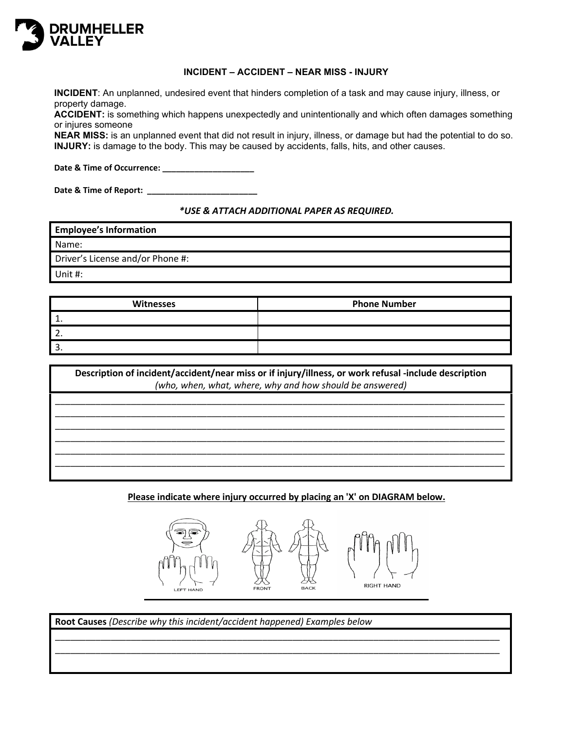

#### **INCIDENT – ACCIDENT – NEAR MISS - INJURY**

**INCIDENT**: An unplanned, undesired event that hinders completion of a task and may cause injury, illness, or property damage.

**ACCIDENT:** is something which happens unexpectedly and unintentionally and which often damages something or injures someone

**NEAR MISS:** is an unplanned event that did not result in injury, illness, or damage but had the potential to do so. **INJURY:** is damage to the body. This may be caused by accidents, falls, hits, and other causes.

**Date & Time of Occurrence: \_\_\_\_\_\_\_\_\_\_\_\_\_\_\_\_\_\_\_\_**

Date & Time of Report: \_\_\_\_\_\_

*\*USE & ATTACH ADDITIONAL PAPER AS REQUIRED.*

**Employee's Information** Name: Driver's License and/or Phone #: Unit #:

| Witnesses | <b>Phone Number</b> |  |  |
|-----------|---------------------|--|--|
|           |                     |  |  |
|           |                     |  |  |
|           |                     |  |  |

| Description of incident/accident/near miss or if injury/illness, or work refusal -include description<br>(who, when, what, where, why and how should be answered) |  |  |  |
|-------------------------------------------------------------------------------------------------------------------------------------------------------------------|--|--|--|
|                                                                                                                                                                   |  |  |  |
|                                                                                                                                                                   |  |  |  |
|                                                                                                                                                                   |  |  |  |

**Please indicate where injury occurred by placing an 'X' on DIAGRAM below.**



\_\_\_\_\_\_\_\_\_\_\_\_\_\_\_\_\_\_\_\_\_\_\_\_\_\_\_\_\_\_\_\_\_\_\_\_\_\_\_\_\_\_\_\_\_\_\_\_\_\_\_\_\_\_\_\_\_\_\_\_\_\_\_\_\_\_\_\_\_\_\_\_\_\_\_\_\_\_\_\_\_\_\_\_\_\_\_\_ \_\_\_\_\_\_\_\_\_\_\_\_\_\_\_\_\_\_\_\_\_\_\_\_\_\_\_\_\_\_\_\_\_\_\_\_\_\_\_\_\_\_\_\_\_\_\_\_\_\_\_\_\_\_\_\_\_\_\_\_\_\_\_\_\_\_\_\_\_\_\_\_\_\_\_\_\_\_\_\_\_\_\_\_\_\_\_\_

**Root Causes** *(Describe why this incident/accident happened) Examples below*